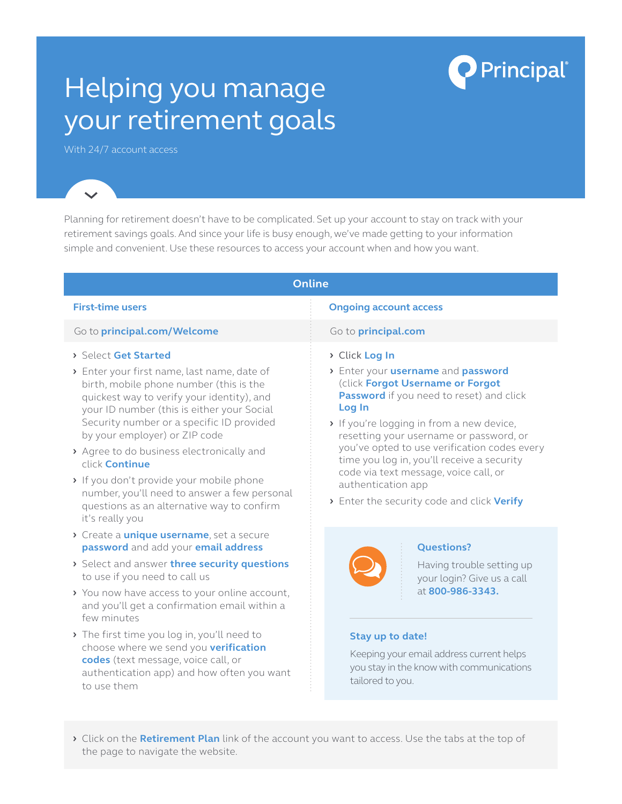# Helping you manage your retirement goals

With 24/7 account access

Planning for retirement doesn't have to be complicated. Set up your account to stay on track with your retirement savings goals. And since your life is busy enough, we've made getting to your information simple and convenient. Use these resources to access your account when and how you want.

#### **Online First-time users Ongoing account access** Go to **[principal.com/Welcome](http://principal.com/Welcome)** Go to **[principal.com](http://principal.com) ›** Select **Get Started ›** Enter your first name, last name, date of birth, mobile phone number (this is the quickest way to verify your identity), and your ID number (this is either your Social Security number or a specific ID provided by your employer) or ZIP code **›** Agree to do business electronically and click **Continue ›** If you don't provide your mobile phone number, you'll need to answer a few personal questions as an alternative way to confirm it's really you **›** Create a **unique username**, set a secure **password** and add your **email address ›** Select and answer **three security questions** to use if you need to call us **›** You now have access to your online account, **›** Click **Log In ›** Enter your **username** and **password** (click **Forgot Username or Forgot Password** if you need to reset) and click **Log In ›** If you're logging in from a new device, resetting your username or password, or you've opted to use verification codes every time you log in, you'll receive a security code via text message, voice call, or authentication app **›** Enter the security code and click **Verify Questions?** Having trouble setting up your login? Give us a call at **800-986-3343.**

- and you'll get a confirmation email within a few minutes **›** The first time you log in, you'll need to choose where we send you **verification**
- **codes** (text message, voice call, or authentication app) and how often you want to use them

## **Stay up to date!**

Keeping your email address current helps you stay in the know with communications tailored to you.

**Principal** 

**›** Click on the **Retirement Plan** link of the account you want to access. Use the tabs at the top of the page to navigate the website.